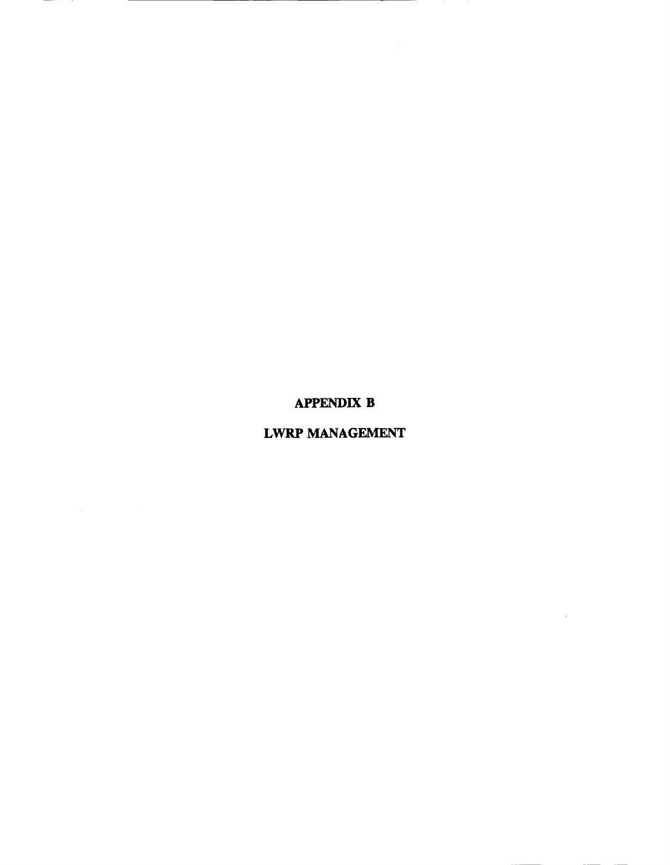APPENDIX B

# LWRP MANAGEMENT

 $\sim 10^{11}$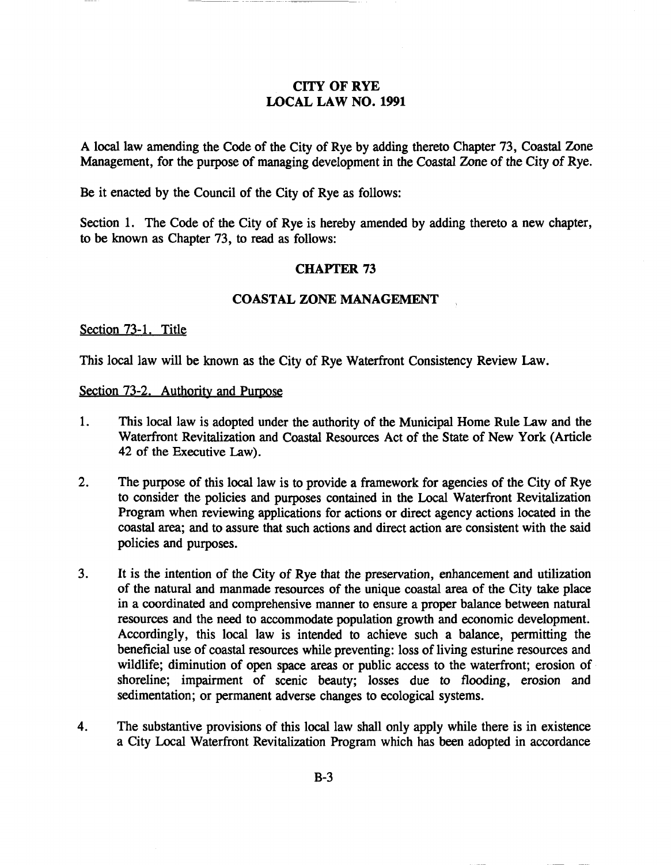# CITY OF RYE LOCAL LAW NO. 1991

A local law amending the Code of the City of Rye by adding thereto Chapter 73, Coastal Zone Management, for the purpose of managing development in the Coastal Zone of the City of Rye.

Be it enacted by the Council of the City of Rye as follows:

Section 1. The Code of the City of Rye is hereby amended by adding thereto a new chapter, to be known as Chapter 73, to read as follows:

## CHAYfER 73

## COASTAL ZONE MANAGEMENT

#### Section 73-1. Title

This local law will be known as the City of Rye Waterfront Consistency Review Law.

#### Section 73-2. Authority and Purpose

- 1. This local law is adopted under the authority of the Municipal Home Rule Law and the Waterfront Revitalization and Coastal Resources Act of the State of New York (Article 42 of the Executive Law).
- 2. The purpose of this local law is to provide a framework for agencies of the City of Rye to consider the policies and purposes contained in the Local Waterfront Revitalization Program when reviewing applications for actions or direct agency actions located in the coastal area; and to assure that such actions and direct action are consistent with the said policies and purposes.
- 3. It is the intention of the City of Rye that the preservation, enhancement and utilization of the natural and manmade resources of the unique coastal area of the City take place in a coordinated and comprehensive manner to ensure a proper balance between natural resources and the need to accommodate population growth and economic development. Accordingly, this local law is intended to achieve such a balance, permitting the beneficial use of coastal resources while preventing: loss of living esturine resources and wildlife; diminution of open space areas or public access to the waterfront; erosion of shoreline; impairment of scenic beauty; losses due to flooding, erosion and sedimentation; or permanent adverse changes to ecological systems.
- 4. The substantive provisions of this local law shall only apply while there is in existence a City Local Waterfront Revitalization Program which has been adopted in accordance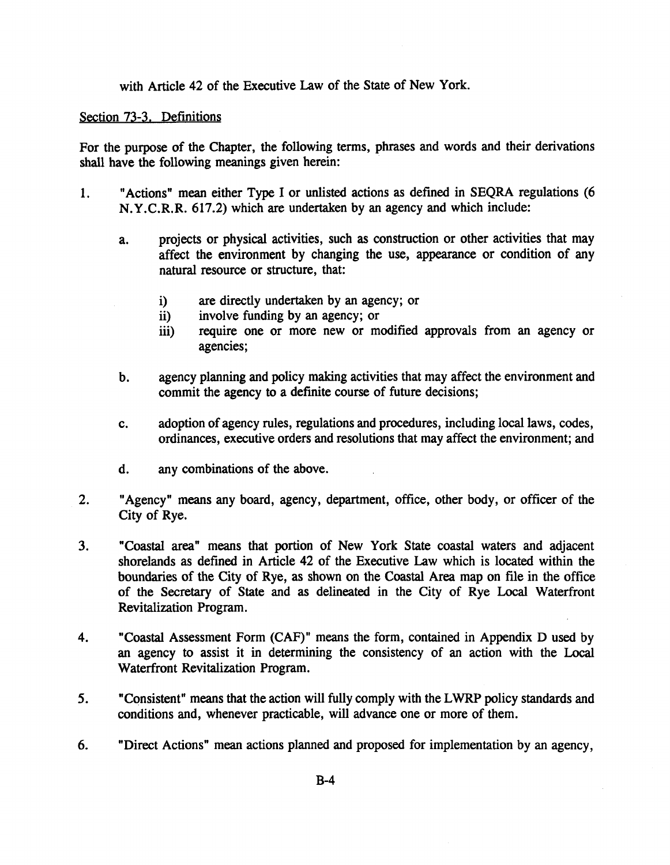with Article 42 of the Executive Law of the State of New York.

## Section 73-3. Definitions

For the purpose of the Chapter, the following terms, phrases and words and their derivations shall have the following meanings given herein:

- 1. "Actions" mean either Type I or unlisted actions as defined in SEQRA regulations (6 N.Y.C.R.R. 617.2) which are undertaken by an agency and which include:
	- a. projects or physical activities, such as construction or other activities that may affect the environment by changing the use, appearance or condition of any natural resource or structure, that:
		- i) are directly undertaken by an agency; or
		- ii) involve funding by an agency; or
		- iii) require one or more new or modified approvals from an agency or agencies;
	- b. agency planning and policy making activities that may affect the environment and commit the agency to a definite course of future decisions;
	- c. adoption of agency rules, regulations and procedures, including local laws, codes, ordinances, executive orders and resolutions that may affect the environment; and
	- d. any combinations of the above.
- 2. "Agency" means any board, agency, department, office, other body, or officer of the City of Rye.
- 3. "Coastal area" means that portion of New York State coastal waters and adjacent shorelands as defined in Article 42 of the Executive Law which is located within the boundaries of the City of Rye, as shown on the Coastal Area map on file in the office of the Secretary of State and as delineated in the City of Rye Local Waterfront Revitalization Program.
- 4. "Coastal Assessment Form (CAF)" means the form, contained in Appendix D used by an agency to assist it in determining the consistency of an action with the Local Waterfront Revitalization Program.
- 5. "Consistent" means that the action will fully comply with the LWRP policy standards and conditions and, whenever practicable, will advance one or more of them.
- 6. "Direct Actions" mean actions planned and proposed for implementation by an agency,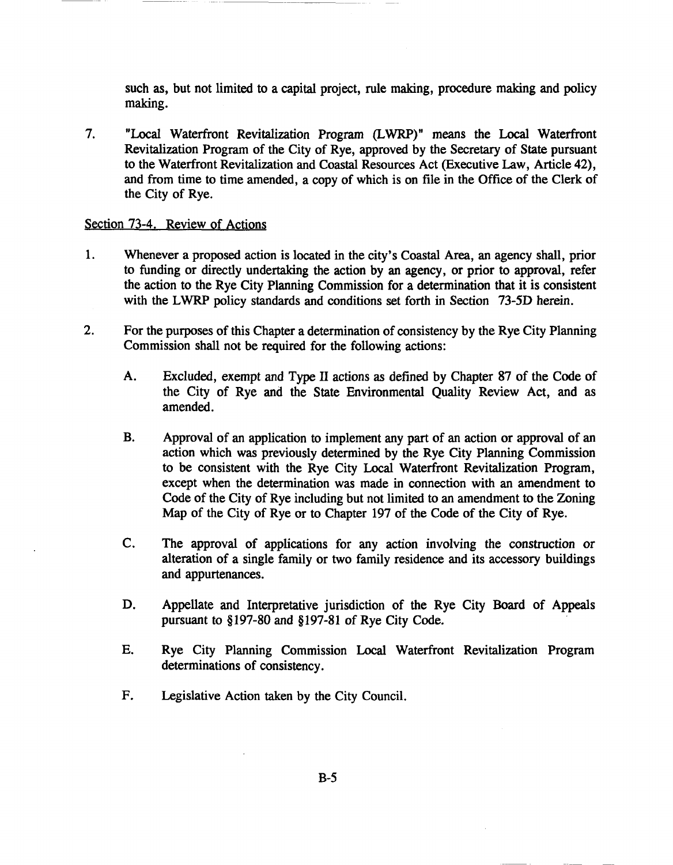such as, but not limited to a capital project, rule making, procedure making and policy making.

7. "Local Waterfront Revitalization Program (LWRP)" means the Local Waterfront Revitalization Program of the City of Rye, approved by the Secretary of State pursuant to the Waterfront Revitalization and Coastal Resources Act (Executive Law, Article 42), and from time to time amended, a copy of which is on file in the Office of the Clerk of the City of Rye.

### Section 73-4. Review of Actions

- 1. Whenever a proposed action is located in the city's Coastal Area, an agency shall, prior to funding or directly undertaking the action by an agency, or prior to approval, refer the action to the Rye City Planning Commission for a determination that it is consistent with the LWRP policy standards and conditions set forth in Section 73-5D herein.
- 2. For the purposes of this Chapter a determination of consistency by the Rye City Planning Commission shall not be required for the following actions:
	- A. Excluded, exempt and Type II actions as defined by Chapter 87 of the Code of the City of Rye and the State Environmental Quality Review Act, and as amended.
	- B. Approval of an application to implement any part of an action or approval of an action which was previously determined by the Rye City Planning Commission to be consistent with the Rye City Local Waterfront Revitalization Program, except when the determination was made in connection with an amendment to Code of the City of Rye including but not limited to an amendment to the Zoning Map of the City of Rye or to Chapter 197 of the Code of the City of Rye.
	- C. The approval of applications for any action involving the construction or alteration of a single family or two family residence and its accessory buildings and appurtenances.
	- D. Appellate and Interpretative jurisdiction of the Rye City Board of Appeals pursuant to §197-80 and §197-81 of Rye City Code.
	- E. Rye City Planning Commission Local Waterfront Revitalization Program determinations of consistency.
	- F. Legislative Action taken by the City Council.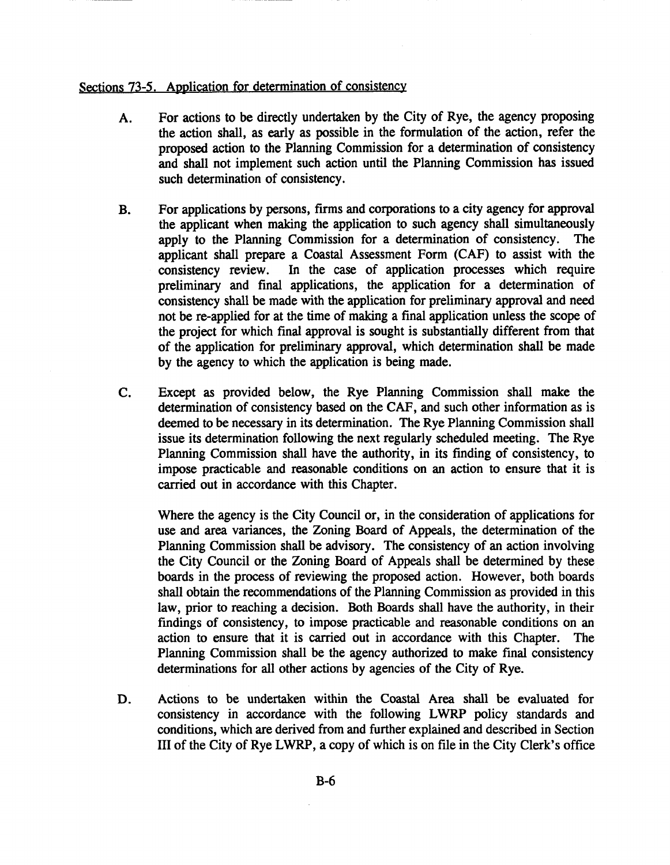## Sections 73-5. Application for determination of consistency

- A. For actions to be directly undertaken by the City of Rye, the agency proposing the action shall, as early as possible in the formulation of the action, refer the proposed action to the Planning Commission for a determination of consistency and shall not implement such action until the Planning Commission has issued such determination of consistency.
- B. For applications by persons, firms and corporations to a city agency for approval the applicant when making the application to such agency shall simultaneously apply to the Planning Commission for a determination of consistency. The applicant shall prepare a Coastal Assessment Form (CAF) to assist with the consistency review. In the case of application processes which require preliminary and final applications, the application for a determination of consistency shall be made with the application for preliminary approval and need not be re-applied for at the time of making a final application unless the scope of the project for which final approval is sought is substantially different from that of the application for preliminary approval, which determination shall be made by the agency to which the application is being made.
- C. Except as provided below, the Rye Planning Commission shall make the determination of consistency based on the CAF, and such other information as is deemed to be necessary in its determination. The Rye Planning Commission shall issue its determination following the next regularly scheduled meeting. The Rye Planning Commission shall have the authority, in its finding of consistency, to impose practicable and reasonable conditions on an action to ensure that it is carried out in accordance with this Chapter.

Where the agency is the City Council or, in the consideration of applications for use and area variances, the Zoning Board of Appeals, the determination of the Planning Commission shall be advisory. The consistency of an action involving the City Council or the Zoning Board of Appeals shall be determined by these boards in the process of reviewing the proposed action. However, both boards shall obtain the recommendations of the Planning Commission as provided in this law, prior to reaching a decision. Both Boards shall have the authority, in their fmdings of consistency, to impose practicable and reasonable conditions on an action to ensure that it is carried out in accordance with this Chapter. Planning Commission shall be the agency authorized to make final consistency determinations for all other actions by agencies of the City of Rye.

D. Actions to be undertaken within the Coastal Area shall be evaluated for consistency in accordance with the following LWRP policy standards and conditions, which are derived from and further explained and described in Section III of the City of Rye LWRP, a copy of which is on file in the City Clerk's office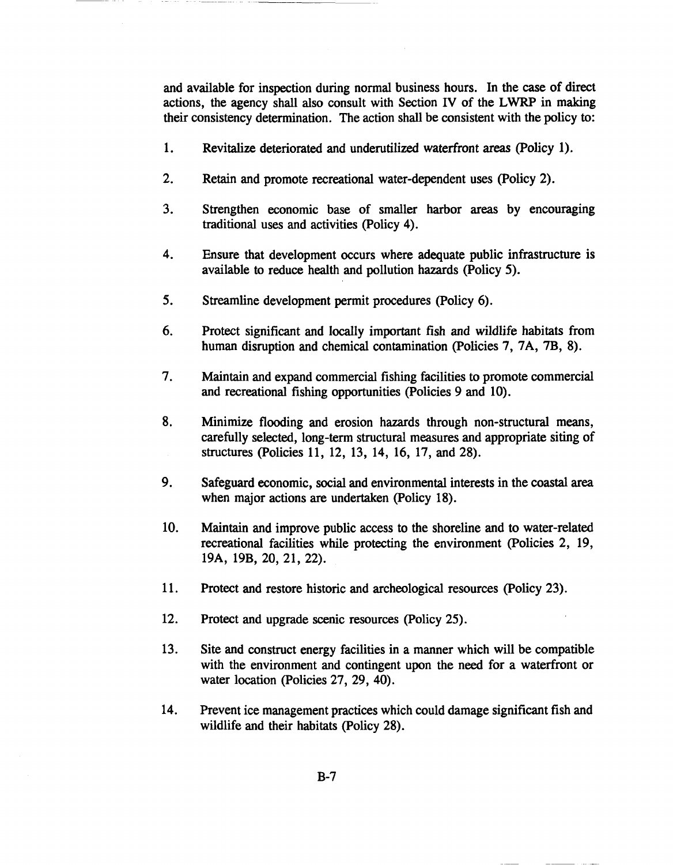and available for inspection during normal business hours. In the case of direct actions, the agency shall also consult with Section IV of the LWRP in making their consistency determination. The action shall be consistent with the policy to:

- 1. Revitalize deteriorated and underutilized waterfront areas (policy 1).
- 2. Retain and promote recreational water-dependent uses (policy 2).
- 3. Strengthen economic base of smaller harbor areas by encouraging traditional uses and activities (policy 4).
- 4. Ensure that development occurs where adequate public infrastructure is available to reduce health and pollution hazards (policy 5).
- 5. Streamline development permit procedures (Policy 6).
- 6. Protect significant and locally important fish and wildlife habitats from human disruption and chemical contamination (Policies 7, 7A, 7B, 8).
- 7. Maintain and expand commercial fishing facilities to promote commercial and recreational fishing opportunities (Policies 9 and 10).
- 8. Minimize flooding and erosion hazards through non-structural means, carefully selected, long-term structural measures and appropriate siting of structures (policies 11, 12, 13, 14, 16, 17, and 28).
- 9. Safeguard economic, social and environmental interests in the coastal area when major actions are undertaken (Policy 18).
- 10. Maintain and improve public access to the shoreline and to water-related recreational facilities while protecting the environment (policies 2, 19, 19A, 19B, 20, 21, 22).
- 11. Protect and restore historic and archeological resources (policy 23).
- 12. Protect and upgrade scenic resources (policy 25).
- 13. Site and construct energy facilities in a manner which will be compatible with the environment and contingent upon the need for a waterfront or water location (policies 27, 29, 40).
- 14. Prevent ice management practices which could damage significant fish and wildlife and their habitats (Policy 28).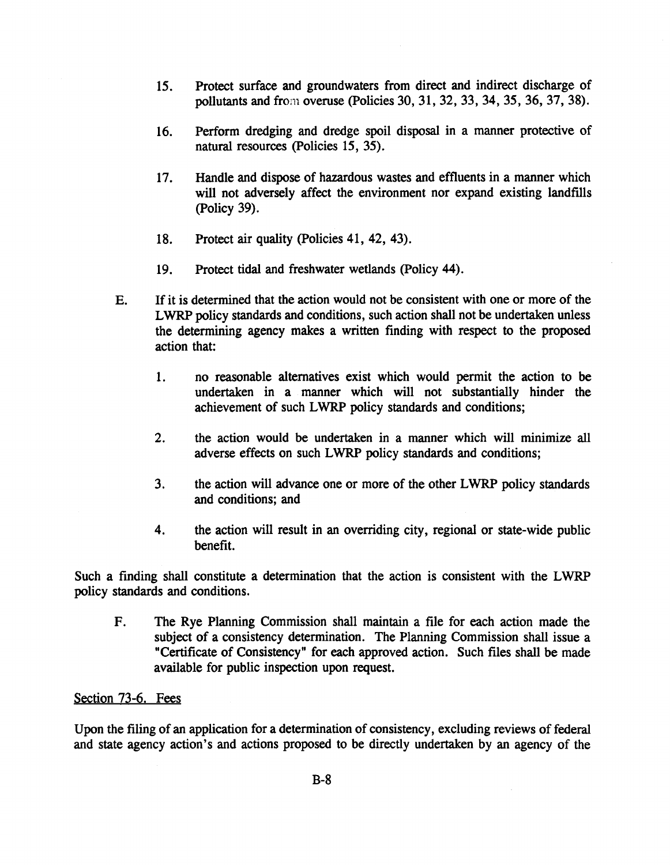- 15. Protect surface and groundwaters from direct and indirect discharge of pollutants and from overuse (policies 30, 31, 32, 33, 34, 35, 36,37,38).
- 16. Perform dredging and dredge spoil disposal in a manner protective of natural resources (policies 15, 35).
- 17. Handle and dispose of hazardous wastes and effluents in a manner which will not adversely affect the environment nor expand existing landfills (policy 39).
- 18. Protect air quality (policies 41, 42, 43).
- 19. Protect tidal and freshwater wetlands (policy 44).
- E. Ifit is determined that the action would not be consistent with one or more of the LWRP policy standards and conditions, such action shall not be undertaken unless the determining agency makes a written finding with respect to the proposed action that:
	- 1. no reasonable alternatives exist which would permit the action to be undertaken in a manner which will not substantially hinder the achievement of such LWRP policy standards and conditions;
	- 2. the action would be undertaken in a manner which will minimize all adverse effects on such LWRP policy standards and conditions;
	- 3. the action will advance one or more of the other LWRP policy standards and conditions; and
	- 4. the action will result in an overriding city, regional or state-wide public benefit.

Such a finding shall constitute a determination that the action is consistent with the LWRP policy standards and conditions.

F. The Rye Planning Commission shall maintain a file for each action made the subject of a consistency determination. The Planning Commission shall issue a "Certificate of Consistency" for each approved action. Such files shall be made available for public inspection upon request.

## Section 73-6. Fees

Upon the filing of an application for a determination of consistency, excluding reviews of federal and state agency action's and actions proposed to be directly undertaken by an agency of the